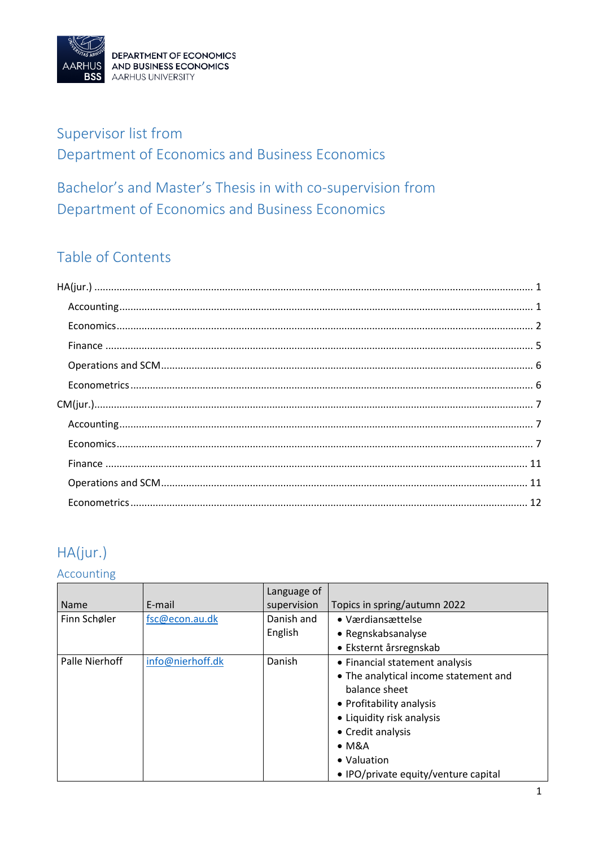

## Supervisor list from Department of Economics and Business Economics

Bachelor's and Master's Thesis in with co-supervision from Department of Economics and Business Economics

### Table of Contents

## <span id="page-0-0"></span>HA(jur.)

#### <span id="page-0-1"></span>Accounting

| Name           | E-mail           | Language of<br>supervision | Topics in spring/autumn 2022          |
|----------------|------------------|----------------------------|---------------------------------------|
| Finn Schøler   | fsc@econ.au.dk   | Danish and                 | • Værdiansættelse                     |
|                |                  | English                    | • Regnskabsanalyse                    |
|                |                  |                            | • Eksternt årsregnskab                |
| Palle Nierhoff | info@nierhoff.dk | Danish                     | • Financial statement analysis        |
|                |                  |                            | • The analytical income statement and |
|                |                  |                            | balance sheet                         |
|                |                  |                            | • Profitability analysis              |
|                |                  |                            | • Liquidity risk analysis             |
|                |                  |                            | • Credit analysis                     |
|                |                  |                            | $\bullet$ M&A                         |
|                |                  |                            | • Valuation                           |
|                |                  |                            | • IPO/private equity/venture capital  |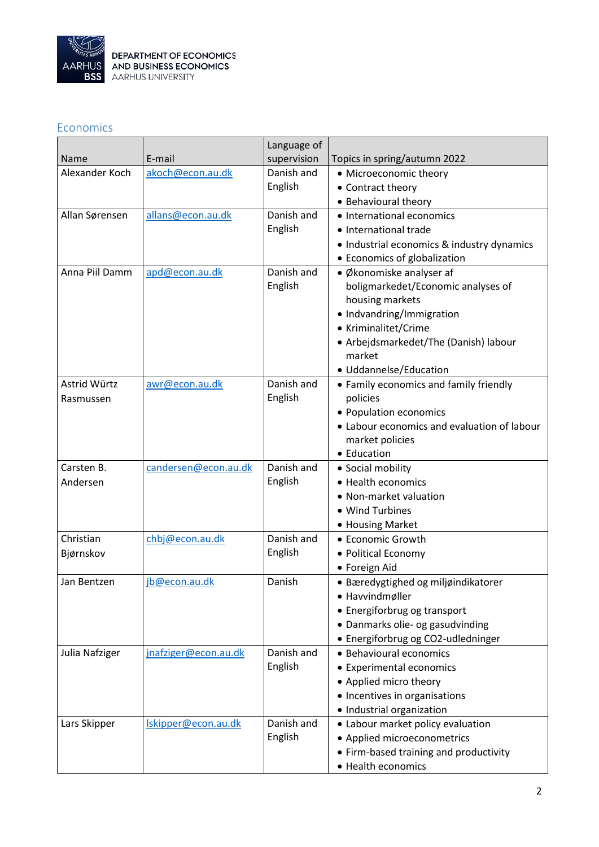

#### <span id="page-1-0"></span>Economics

|                |                      | Language of |                                             |
|----------------|----------------------|-------------|---------------------------------------------|
| <b>Name</b>    | E-mail               | supervision | Topics in spring/autumn 2022                |
| Alexander Koch | akoch@econ.au.dk     | Danish and  | • Microeconomic theory                      |
|                |                      | English     | • Contract theory                           |
|                |                      |             | • Behavioural theory                        |
| Allan Sørensen | allans@econ.au.dk    | Danish and  | • International economics                   |
|                |                      | English     | • International trade                       |
|                |                      |             | • Industrial economics & industry dynamics  |
|                |                      |             | • Economics of globalization                |
| Anna Piil Damm | apd@econ.au.dk       | Danish and  | • Økonomiske analyser af                    |
|                |                      | English     | boligmarkedet/Economic analyses of          |
|                |                      |             | housing markets                             |
|                |                      |             | • Indvandring/Immigration                   |
|                |                      |             | • Kriminalitet/Crime                        |
|                |                      |             | • Arbejdsmarkedet/The (Danish) labour       |
|                |                      |             | market                                      |
|                |                      |             | · Uddannelse/Education                      |
| Astrid Würtz   | awr@econ.au.dk       | Danish and  | • Family economics and family friendly      |
| Rasmussen      |                      | English     | policies                                    |
|                |                      |             | • Population economics                      |
|                |                      |             | • Labour economics and evaluation of labour |
|                |                      |             | market policies                             |
|                |                      |             | • Education                                 |
| Carsten B.     | candersen@econ.au.dk | Danish and  | • Social mobility                           |
| Andersen       |                      | English     | • Health economics                          |
|                |                      |             | • Non-market valuation                      |
|                |                      |             | • Wind Turbines                             |
|                |                      |             | • Housing Market                            |
| Christian      | chbj@econ.au.dk      | Danish and  | • Economic Growth                           |
| Bjørnskov      |                      | English     | • Political Economy                         |
|                |                      |             | • Foreign Aid                               |
| Jan Bentzen    | jb@econ.au.dk        | Danish      | · Bæredygtighed og miljøindikatorer         |
|                |                      |             | · Havvindmøller                             |
|                |                      |             | • Energiforbrug og transport                |
|                |                      |             | • Danmarks olie- og gasudvinding            |
|                |                      |             | · Energiforbrug og CO2-udledninger          |
| Julia Nafziger | jnafziger@econ.au.dk | Danish and  | • Behavioural economics                     |
|                |                      | English     | • Experimental economics                    |
|                |                      |             | • Applied micro theory                      |
|                |                      |             | • Incentives in organisations               |
|                |                      |             | · Industrial organization                   |
| Lars Skipper   | Iskipper@econ.au.dk  | Danish and  | • Labour market policy evaluation           |
|                |                      | English     | • Applied microeconometrics                 |
|                |                      |             | • Firm-based training and productivity      |
|                |                      |             | • Health economics                          |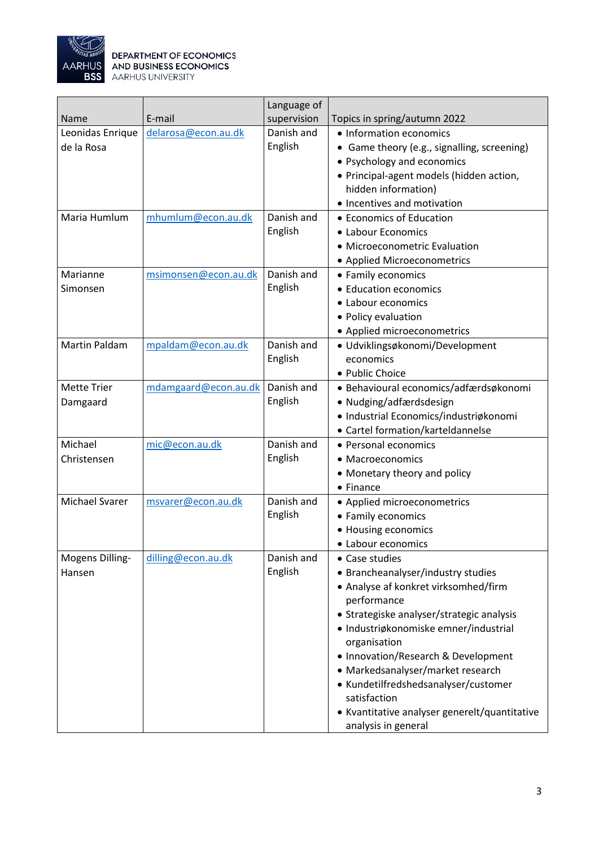

|                       |                      | Language of |                                               |
|-----------------------|----------------------|-------------|-----------------------------------------------|
| <b>Name</b>           | E-mail               | supervision | Topics in spring/autumn 2022                  |
| Leonidas Enrique      | delarosa@econ.au.dk  | Danish and  | • Information economics                       |
| de la Rosa            |                      | English     | • Game theory (e.g., signalling, screening)   |
|                       |                      |             | • Psychology and economics                    |
|                       |                      |             | • Principal-agent models (hidden action,      |
|                       |                      |             | hidden information)                           |
|                       |                      |             | • Incentives and motivation                   |
| Maria Humlum          | mhumlum@econ.au.dk   | Danish and  | • Economics of Education                      |
|                       |                      | English     | • Labour Economics                            |
|                       |                      |             | • Microeconometric Evaluation                 |
|                       |                      |             | • Applied Microeconometrics                   |
| Marianne              | msimonsen@econ.au.dk | Danish and  | • Family economics                            |
| Simonsen              |                      | English     | • Education economics                         |
|                       |                      |             | • Labour economics                            |
|                       |                      |             | • Policy evaluation                           |
|                       |                      |             | • Applied microeconometrics                   |
| <b>Martin Paldam</b>  | mpaldam@econ.au.dk   | Danish and  | · Udviklingsøkonomi/Development               |
|                       |                      | English     | economics                                     |
|                       |                      |             | • Public Choice                               |
| <b>Mette Trier</b>    | mdamgaard@econ.au.dk | Danish and  | · Behavioural economics/adfærdsøkonomi        |
| Damgaard              |                      | English     | · Nudging/adfærdsdesign                       |
|                       |                      |             | · Industrial Economics/industriøkonomi        |
|                       |                      |             | • Cartel formation/karteldannelse             |
| Michael               | mic@econ.au.dk       | Danish and  | • Personal economics                          |
| Christensen           |                      | English     | • Macroeconomics                              |
|                       |                      |             | • Monetary theory and policy                  |
|                       |                      |             | $\bullet$ Finance                             |
| <b>Michael Svarer</b> | msvarer@econ.au.dk   | Danish and  | • Applied microeconometrics                   |
|                       |                      | English     | • Family economics                            |
|                       |                      |             | • Housing economics                           |
|                       |                      |             | • Labour economics                            |
| Mogens Dilling-       | dilling@econ.au.dk   | Danish and  | • Case studies                                |
| Hansen                |                      | English     | • Brancheanalyser/industry studies            |
|                       |                      |             | • Analyse af konkret virksomhed/firm          |
|                       |                      |             | performance                                   |
|                       |                      |             | • Strategiske analyser/strategic analysis     |
|                       |                      |             | · Industriøkonomiske emner/industrial         |
|                       |                      |             | organisation                                  |
|                       |                      |             | • Innovation/Research & Development           |
|                       |                      |             | • Markedsanalyser/market research             |
|                       |                      |             | • Kundetilfredshedsanalyser/customer          |
|                       |                      |             | satisfaction                                  |
|                       |                      |             | • Kvantitative analyser generelt/quantitative |
|                       |                      |             | analysis in general                           |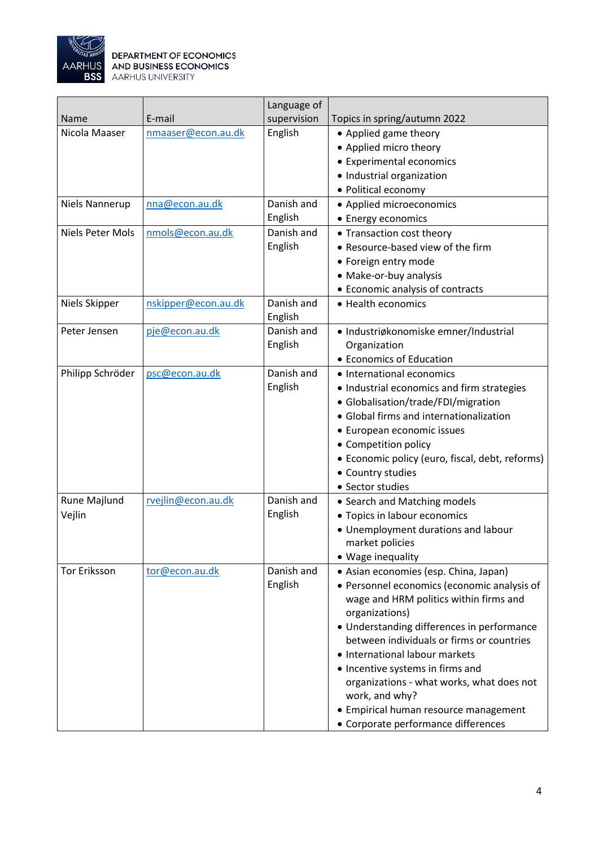

|                         |                     | Language of |                                                 |
|-------------------------|---------------------|-------------|-------------------------------------------------|
| Name                    | E-mail              | supervision | Topics in spring/autumn 2022                    |
| Nicola Maaser           | nmaaser@econ.au.dk  | English     | • Applied game theory                           |
|                         |                     |             | • Applied micro theory                          |
|                         |                     |             | • Experimental economics                        |
|                         |                     |             | • Industrial organization                       |
|                         |                     |             | · Political economy                             |
| Niels Nannerup          | nna@econ.au.dk      | Danish and  | • Applied microeconomics                        |
|                         |                     | English     | • Energy economics                              |
| <b>Niels Peter Mols</b> | nmols@econ.au.dk    | Danish and  | • Transaction cost theory                       |
|                         |                     | English     | • Resource-based view of the firm               |
|                         |                     |             | • Foreign entry mode                            |
|                         |                     |             | • Make-or-buy analysis                          |
|                         |                     |             | • Economic analysis of contracts                |
| Niels Skipper           | nskipper@econ.au.dk | Danish and  | • Health economics                              |
|                         |                     | English     |                                                 |
| Peter Jensen            | pje@econ.au.dk      | Danish and  | · Industriøkonomiske emner/Industrial           |
|                         |                     | English     | Organization                                    |
|                         |                     |             | • Economics of Education                        |
| Philipp Schröder        | psc@econ.au.dk      | Danish and  | • International economics                       |
|                         |                     | English     | • Industrial economics and firm strategies      |
|                         |                     |             | • Globalisation/trade/FDI/migration             |
|                         |                     |             | • Global firms and internationalization         |
|                         |                     |             | • European economic issues                      |
|                         |                     |             | • Competition policy                            |
|                         |                     |             | • Economic policy (euro, fiscal, debt, reforms) |
|                         |                     |             | • Country studies                               |
|                         |                     |             | • Sector studies                                |
| Rune Majlund            | rvejlin@econ.au.dk  | Danish and  | • Search and Matching models                    |
| Vejlin                  |                     | English     | • Topics in labour economics                    |
|                         |                     |             | • Unemployment durations and labour             |
|                         |                     |             | market policies                                 |
|                         |                     |             | • Wage inequality                               |
| <b>Tor Eriksson</b>     | tor@econ.au.dk      | Danish and  | • Asian economies (esp. China, Japan)           |
|                         |                     | English     | • Personnel economics (economic analysis of     |
|                         |                     |             | wage and HRM politics within firms and          |
|                         |                     |             | organizations)                                  |
|                         |                     |             | • Understanding differences in performance      |
|                         |                     |             | between individuals or firms or countries       |
|                         |                     |             | • International labour markets                  |
|                         |                     |             | • Incentive systems in firms and                |
|                         |                     |             | organizations - what works, what does not       |
|                         |                     |             | work, and why?                                  |
|                         |                     |             | • Empirical human resource management           |
|                         |                     |             | • Corporate performance differences             |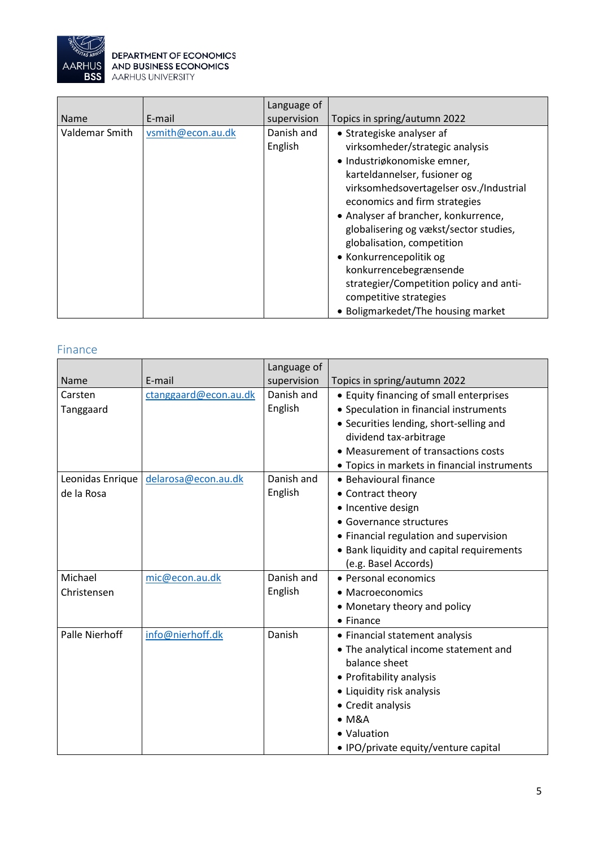

| <b>Name</b>    | E-mail            | Language of<br>supervision | Topics in spring/autumn 2022                                                                                                                                                                                                                                                                                                                                                                                                                                                            |
|----------------|-------------------|----------------------------|-----------------------------------------------------------------------------------------------------------------------------------------------------------------------------------------------------------------------------------------------------------------------------------------------------------------------------------------------------------------------------------------------------------------------------------------------------------------------------------------|
| Valdemar Smith | vsmith@econ.au.dk | Danish and<br>English      | • Strategiske analyser af<br>virksomheder/strategic analysis<br>· Industriøkonomiske emner,<br>karteldannelser, fusioner og<br>virksomhedsovertagelser osv./Industrial<br>economics and firm strategies<br>• Analyser af brancher, konkurrence,<br>globalisering og vækst/sector studies,<br>globalisation, competition<br>• Konkurrencepolitik og<br>konkurrencebegrænsende<br>strategier/Competition policy and anti-<br>competitive strategies<br>• Boligmarkedet/The housing market |

#### <span id="page-4-0"></span>Finance

| Name                  | E-mail                | Language of<br>supervision | Topics in spring/autumn 2022                 |
|-----------------------|-----------------------|----------------------------|----------------------------------------------|
| Carsten               | ctanggaard@econ.au.dk | Danish and                 | • Equity financing of small enterprises      |
| Tanggaard             |                       | English                    | • Speculation in financial instruments       |
|                       |                       |                            | • Securities lending, short-selling and      |
|                       |                       |                            | dividend tax-arbitrage                       |
|                       |                       |                            | • Measurement of transactions costs          |
|                       |                       |                            | • Topics in markets in financial instruments |
| Leonidas Enrique      | delarosa@econ.au.dk   | Danish and                 | • Behavioural finance                        |
| de la Rosa            |                       | English                    | • Contract theory                            |
|                       |                       |                            | • Incentive design                           |
|                       |                       |                            | • Governance structures                      |
|                       |                       |                            | • Financial regulation and supervision       |
|                       |                       |                            | • Bank liquidity and capital requirements    |
|                       |                       |                            | (e.g. Basel Accords)                         |
| Michael               | mic@econ.au.dk        | Danish and                 | • Personal economics                         |
| Christensen           |                       | English                    | • Macroeconomics                             |
|                       |                       |                            | • Monetary theory and policy                 |
|                       |                       |                            | $\bullet$ Finance                            |
| <b>Palle Nierhoff</b> | info@nierhoff.dk      | Danish                     | • Financial statement analysis               |
|                       |                       |                            | • The analytical income statement and        |
|                       |                       |                            | balance sheet                                |
|                       |                       |                            | • Profitability analysis                     |
|                       |                       |                            | • Liquidity risk analysis                    |
|                       |                       |                            | • Credit analysis                            |
|                       |                       |                            | • M&A                                        |
|                       |                       |                            | • Valuation                                  |
|                       |                       |                            | • IPO/private equity/venture capital         |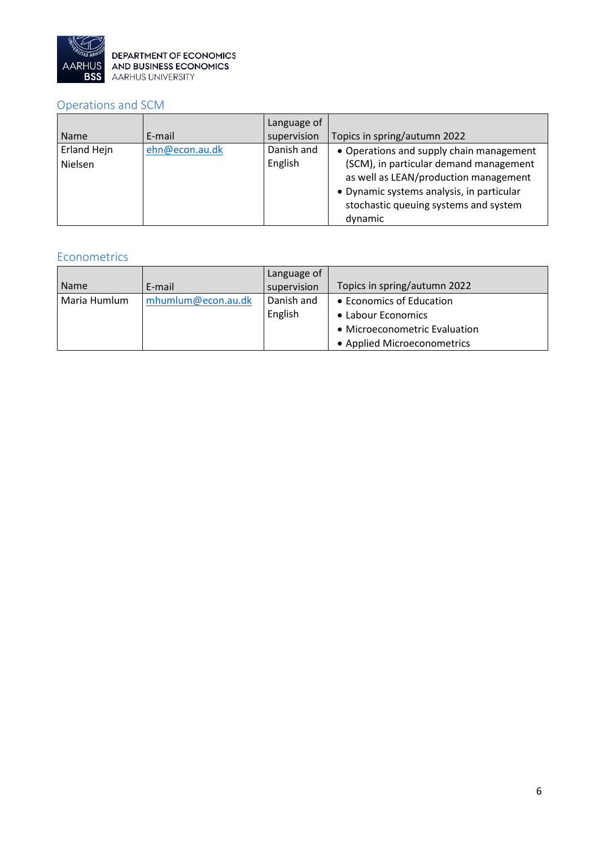

### <span id="page-5-0"></span>Operations and SCM

| Name                   | E-mail         | Language of<br>supervision | Topics in spring/autumn 2022                                                                                                                                                                                                 |
|------------------------|----------------|----------------------------|------------------------------------------------------------------------------------------------------------------------------------------------------------------------------------------------------------------------------|
| Erland Hejn<br>Nielsen | ehn@econ.au.dk | Danish and<br>English      | • Operations and supply chain management<br>(SCM), in particular demand management<br>as well as LEAN/production management<br>• Dynamic systems analysis, in particular<br>stochastic queuing systems and system<br>dynamic |

#### <span id="page-5-1"></span>Econometrics

|              |                    | Language of |                               |
|--------------|--------------------|-------------|-------------------------------|
| <b>Name</b>  | E-mail             | supervision | Topics in spring/autumn 2022  |
| Maria Humlum | mhumlum@econ.au.dk | Danish and  | • Economics of Education      |
|              |                    | English     | • Labour Economics            |
|              |                    |             | • Microeconometric Evaluation |
|              |                    |             | • Applied Microeconometrics   |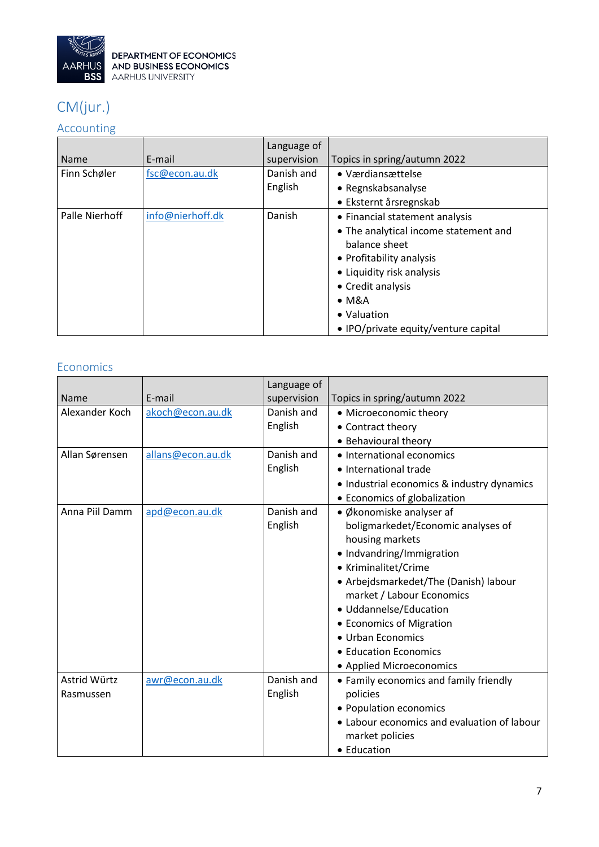

# <span id="page-6-0"></span>CM(jur.)

### <span id="page-6-1"></span>Accounting

|                |                  | Language of |                                       |
|----------------|------------------|-------------|---------------------------------------|
| Name           | E-mail           | supervision | Topics in spring/autumn 2022          |
| Finn Schøler   | fsc@econ.au.dk   | Danish and  | • Værdiansættelse                     |
|                |                  | English     | • Regnskabsanalyse                    |
|                |                  |             | • Eksternt årsregnskab                |
| Palle Nierhoff | info@nierhoff.dk | Danish      | • Financial statement analysis        |
|                |                  |             | • The analytical income statement and |
|                |                  |             | balance sheet                         |
|                |                  |             | • Profitability analysis              |
|                |                  |             | • Liquidity risk analysis             |
|                |                  |             | • Credit analysis                     |
|                |                  |             | $\bullet$ M&A                         |
|                |                  |             | • Valuation                           |
|                |                  |             | • IPO/private equity/venture capital  |

#### <span id="page-6-2"></span>Economics

|                |                   | Language of |                                             |
|----------------|-------------------|-------------|---------------------------------------------|
| <b>Name</b>    | E-mail            | supervision | Topics in spring/autumn 2022                |
| Alexander Koch | akoch@econ.au.dk  | Danish and  | • Microeconomic theory                      |
|                |                   | English     | • Contract theory                           |
|                |                   |             | • Behavioural theory                        |
| Allan Sørensen | allans@econ.au.dk | Danish and  | • International economics                   |
|                |                   | English     | • International trade                       |
|                |                   |             | • Industrial economics & industry dynamics  |
|                |                   |             | • Economics of globalization                |
| Anna Piil Damm | apd@econ.au.dk    | Danish and  | · Økonomiske analyser af                    |
|                |                   | English     | boligmarkedet/Economic analyses of          |
|                |                   |             | housing markets                             |
|                |                   |             | • Indvandring/Immigration                   |
|                |                   |             | • Kriminalitet/Crime                        |
|                |                   |             | • Arbejdsmarkedet/The (Danish) labour       |
|                |                   |             | market / Labour Economics                   |
|                |                   |             | · Uddannelse/Education                      |
|                |                   |             | • Economics of Migration                    |
|                |                   |             | • Urban Economics                           |
|                |                   |             | • Education Economics                       |
|                |                   |             | • Applied Microeconomics                    |
| Astrid Würtz   | awr@econ.au.dk    | Danish and  | • Family economics and family friendly      |
| Rasmussen      |                   | English     | policies                                    |
|                |                   |             | • Population economics                      |
|                |                   |             | • Labour economics and evaluation of labour |
|                |                   |             | market policies                             |
|                |                   |             | • Education                                 |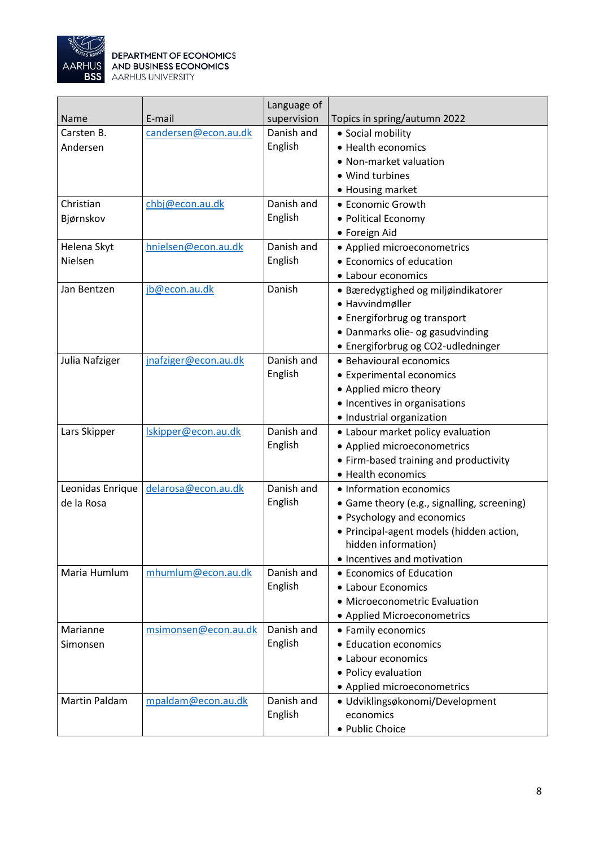

| supervision<br>E-mail<br>Topics in spring/autumn 2022<br>Name<br>Danish and<br>candersen@econ.au.dk<br>Carsten B.<br>• Social mobility<br>English<br>Andersen<br>• Health economics<br>• Non-market valuation<br>• Wind turbines<br>• Housing market<br>Christian<br>Danish and<br>chbj@econ.au.dk<br>• Economic Growth<br>English<br>Bjørnskov<br>• Political Economy<br>• Foreign Aid<br>Danish and<br>Helena Skyt<br>hnielsen@econ.au.dk<br>• Applied microeconometrics<br>English<br>Nielsen<br>• Economics of education<br>• Labour economics<br>Danish<br>jb@econ.au.dk<br>Jan Bentzen<br>· Bæredygtighed og miljøindikatorer<br>• Havvindmøller |
|--------------------------------------------------------------------------------------------------------------------------------------------------------------------------------------------------------------------------------------------------------------------------------------------------------------------------------------------------------------------------------------------------------------------------------------------------------------------------------------------------------------------------------------------------------------------------------------------------------------------------------------------------------|
|                                                                                                                                                                                                                                                                                                                                                                                                                                                                                                                                                                                                                                                        |
|                                                                                                                                                                                                                                                                                                                                                                                                                                                                                                                                                                                                                                                        |
|                                                                                                                                                                                                                                                                                                                                                                                                                                                                                                                                                                                                                                                        |
|                                                                                                                                                                                                                                                                                                                                                                                                                                                                                                                                                                                                                                                        |
|                                                                                                                                                                                                                                                                                                                                                                                                                                                                                                                                                                                                                                                        |
|                                                                                                                                                                                                                                                                                                                                                                                                                                                                                                                                                                                                                                                        |
|                                                                                                                                                                                                                                                                                                                                                                                                                                                                                                                                                                                                                                                        |
|                                                                                                                                                                                                                                                                                                                                                                                                                                                                                                                                                                                                                                                        |
|                                                                                                                                                                                                                                                                                                                                                                                                                                                                                                                                                                                                                                                        |
|                                                                                                                                                                                                                                                                                                                                                                                                                                                                                                                                                                                                                                                        |
|                                                                                                                                                                                                                                                                                                                                                                                                                                                                                                                                                                                                                                                        |
|                                                                                                                                                                                                                                                                                                                                                                                                                                                                                                                                                                                                                                                        |
|                                                                                                                                                                                                                                                                                                                                                                                                                                                                                                                                                                                                                                                        |
|                                                                                                                                                                                                                                                                                                                                                                                                                                                                                                                                                                                                                                                        |
| • Energiforbrug og transport                                                                                                                                                                                                                                                                                                                                                                                                                                                                                                                                                                                                                           |
| • Danmarks olie- og gasudvinding                                                                                                                                                                                                                                                                                                                                                                                                                                                                                                                                                                                                                       |
| · Energiforbrug og CO2-udledninger                                                                                                                                                                                                                                                                                                                                                                                                                                                                                                                                                                                                                     |
| Julia Nafziger<br>jnafziger@econ.au.dk<br>Danish and<br>• Behavioural economics                                                                                                                                                                                                                                                                                                                                                                                                                                                                                                                                                                        |
| English<br>• Experimental economics                                                                                                                                                                                                                                                                                                                                                                                                                                                                                                                                                                                                                    |
| • Applied micro theory                                                                                                                                                                                                                                                                                                                                                                                                                                                                                                                                                                                                                                 |
| • Incentives in organisations                                                                                                                                                                                                                                                                                                                                                                                                                                                                                                                                                                                                                          |
| · Industrial organization                                                                                                                                                                                                                                                                                                                                                                                                                                                                                                                                                                                                                              |
| Danish and<br>Iskipper@econ.au.dk<br>Lars Skipper<br>• Labour market policy evaluation                                                                                                                                                                                                                                                                                                                                                                                                                                                                                                                                                                 |
| English<br>• Applied microeconometrics                                                                                                                                                                                                                                                                                                                                                                                                                                                                                                                                                                                                                 |
| • Firm-based training and productivity                                                                                                                                                                                                                                                                                                                                                                                                                                                                                                                                                                                                                 |
| • Health economics                                                                                                                                                                                                                                                                                                                                                                                                                                                                                                                                                                                                                                     |
| Danish and<br>delarosa@econ.au.dk<br>Leonidas Enrique<br>• Information economics                                                                                                                                                                                                                                                                                                                                                                                                                                                                                                                                                                       |
| English<br>de la Rosa<br>• Game theory (e.g., signalling, screening)                                                                                                                                                                                                                                                                                                                                                                                                                                                                                                                                                                                   |
| • Psychology and economics                                                                                                                                                                                                                                                                                                                                                                                                                                                                                                                                                                                                                             |
| · Principal-agent models (hidden action,                                                                                                                                                                                                                                                                                                                                                                                                                                                                                                                                                                                                               |
| hidden information)                                                                                                                                                                                                                                                                                                                                                                                                                                                                                                                                                                                                                                    |
| • Incentives and motivation                                                                                                                                                                                                                                                                                                                                                                                                                                                                                                                                                                                                                            |
| mhumlum@econ.au.dk<br>Danish and<br>• Economics of Education<br>Maria Humlum                                                                                                                                                                                                                                                                                                                                                                                                                                                                                                                                                                           |
| English<br>• Labour Economics                                                                                                                                                                                                                                                                                                                                                                                                                                                                                                                                                                                                                          |
| • Microeconometric Evaluation                                                                                                                                                                                                                                                                                                                                                                                                                                                                                                                                                                                                                          |
| • Applied Microeconometrics                                                                                                                                                                                                                                                                                                                                                                                                                                                                                                                                                                                                                            |
| Danish and<br>Marianne<br>msimonsen@econ.au.dk<br>• Family economics                                                                                                                                                                                                                                                                                                                                                                                                                                                                                                                                                                                   |
| English<br>• Education economics<br>Simonsen                                                                                                                                                                                                                                                                                                                                                                                                                                                                                                                                                                                                           |
| • Labour economics                                                                                                                                                                                                                                                                                                                                                                                                                                                                                                                                                                                                                                     |
| • Policy evaluation                                                                                                                                                                                                                                                                                                                                                                                                                                                                                                                                                                                                                                    |
| • Applied microeconometrics                                                                                                                                                                                                                                                                                                                                                                                                                                                                                                                                                                                                                            |
| <b>Martin Paldam</b><br>Danish and<br>mpaldam@econ.au.dk<br>· Udviklingsøkonomi/Development                                                                                                                                                                                                                                                                                                                                                                                                                                                                                                                                                            |
| English<br>economics                                                                                                                                                                                                                                                                                                                                                                                                                                                                                                                                                                                                                                   |
| • Public Choice                                                                                                                                                                                                                                                                                                                                                                                                                                                                                                                                                                                                                                        |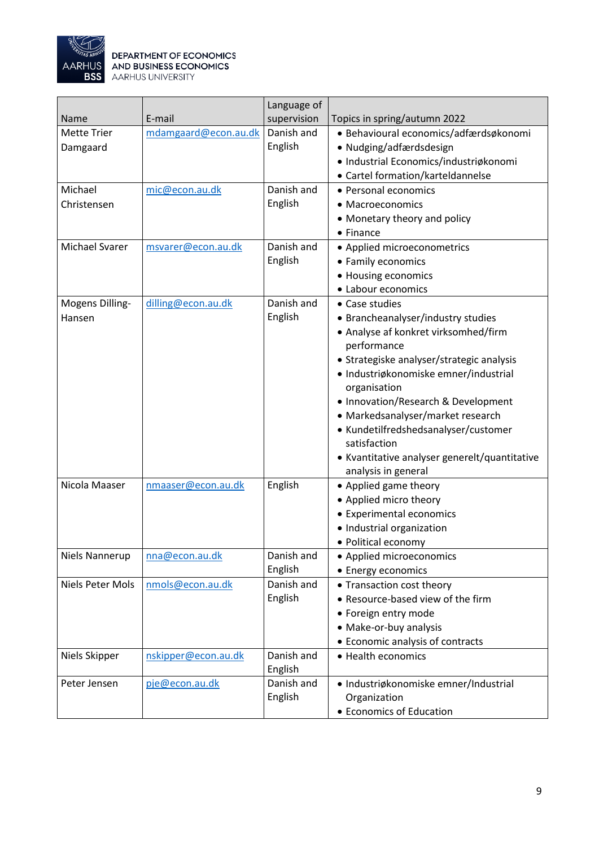

|                       |                      | Language of           |                                               |
|-----------------------|----------------------|-----------------------|-----------------------------------------------|
| Name                  | E-mail               | supervision           | Topics in spring/autumn 2022                  |
| <b>Mette Trier</b>    | mdamgaard@econ.au.dk | Danish and            | · Behavioural economics/adfærdsøkonomi        |
| Damgaard              |                      | English               | • Nudging/adfærdsdesign                       |
|                       |                      |                       | · Industrial Economics/industriøkonomi        |
|                       |                      |                       | • Cartel formation/karteldannelse             |
| Michael               | mic@econ.au.dk       | Danish and            | • Personal economics                          |
| Christensen           |                      | English               | • Macroeconomics                              |
|                       |                      |                       | • Monetary theory and policy                  |
|                       |                      |                       | $\bullet$ Finance                             |
| <b>Michael Svarer</b> | msvarer@econ.au.dk   | Danish and            | • Applied microeconometrics                   |
|                       |                      | English               | • Family economics                            |
|                       |                      |                       | • Housing economics                           |
|                       |                      |                       | • Labour economics                            |
| Mogens Dilling-       | dilling@econ.au.dk   | Danish and            | • Case studies                                |
| Hansen                |                      | English               | • Brancheanalyser/industry studies            |
|                       |                      |                       | • Analyse af konkret virksomhed/firm          |
|                       |                      |                       | performance                                   |
|                       |                      |                       | • Strategiske analyser/strategic analysis     |
|                       |                      |                       | · Industriøkonomiske emner/industrial         |
|                       |                      |                       | organisation                                  |
|                       |                      |                       | • Innovation/Research & Development           |
|                       |                      |                       | • Markedsanalyser/market research             |
|                       |                      |                       | • Kundetilfredshedsanalyser/customer          |
|                       |                      |                       | satisfaction                                  |
|                       |                      |                       | • Kvantitative analyser generelt/quantitative |
|                       |                      |                       | analysis in general                           |
| Nicola Maaser         | nmaaser@econ.au.dk   | English               | • Applied game theory                         |
|                       |                      |                       | • Applied micro theory                        |
|                       |                      |                       | • Experimental economics                      |
|                       |                      |                       | · Industrial organization                     |
|                       |                      |                       | • Political economy                           |
| Niels Nannerup        | nna@econ.au.dk       | Danish and            | • Applied microeconomics                      |
|                       |                      | English               | • Energy economics                            |
| Niels Peter Mols      | nmols@econ.au.dk     | Danish and            | • Transaction cost theory                     |
|                       |                      | English               | • Resource-based view of the firm             |
|                       |                      |                       | • Foreign entry mode                          |
|                       |                      |                       | · Make-or-buy analysis                        |
|                       |                      |                       | • Economic analysis of contracts              |
| Niels Skipper         | nskipper@econ.au.dk  | Danish and<br>English | • Health economics                            |
| Peter Jensen          | pje@econ.au.dk       | Danish and            | · Industriøkonomiske emner/Industrial         |
|                       |                      | English               | Organization                                  |
|                       |                      |                       | • Economics of Education                      |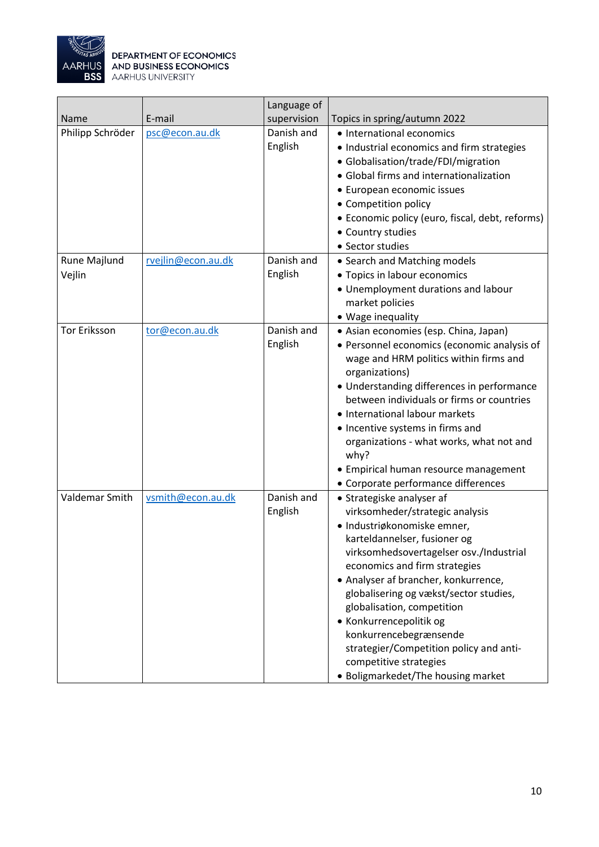

|                     |                    | Language of |                                                 |
|---------------------|--------------------|-------------|-------------------------------------------------|
| Name                | E-mail             | supervision | Topics in spring/autumn 2022                    |
| Philipp Schröder    | psc@econ.au.dk     | Danish and  | • International economics                       |
|                     |                    | English     | • Industrial economics and firm strategies      |
|                     |                    |             | • Globalisation/trade/FDI/migration             |
|                     |                    |             | • Global firms and internationalization         |
|                     |                    |             | • European economic issues                      |
|                     |                    |             | • Competition policy                            |
|                     |                    |             | • Economic policy (euro, fiscal, debt, reforms) |
|                     |                    |             | • Country studies                               |
|                     |                    |             | • Sector studies                                |
| Rune Majlund        | rvejlin@econ.au.dk | Danish and  | • Search and Matching models                    |
| Vejlin              |                    | English     | • Topics in labour economics                    |
|                     |                    |             | • Unemployment durations and labour             |
|                     |                    |             | market policies                                 |
|                     |                    |             | • Wage inequality                               |
| <b>Tor Eriksson</b> | tor@econ.au.dk     | Danish and  | • Asian economies (esp. China, Japan)           |
|                     |                    | English     | • Personnel economics (economic analysis of     |
|                     |                    |             | wage and HRM politics within firms and          |
|                     |                    |             | organizations)                                  |
|                     |                    |             | • Understanding differences in performance      |
|                     |                    |             | between individuals or firms or countries       |
|                     |                    |             | • International labour markets                  |
|                     |                    |             | • Incentive systems in firms and                |
|                     |                    |             | organizations - what works, what not and        |
|                     |                    |             | why?                                            |
|                     |                    |             | • Empirical human resource management           |
|                     |                    |             | • Corporate performance differences             |
| Valdemar Smith      | vsmith@econ.au.dk  | Danish and  | • Strategiske analyser af                       |
|                     |                    | English     | virksomheder/strategic analysis                 |
|                     |                    |             | · Industriøkonomiske emner,                     |
|                     |                    |             | karteldannelser, fusioner og                    |
|                     |                    |             | virksomhedsovertagelser osv./Industrial         |
|                     |                    |             | economics and firm strategies                   |
|                     |                    |             | • Analyser af brancher, konkurrence,            |
|                     |                    |             | globalisering og vækst/sector studies,          |
|                     |                    |             | globalisation, competition                      |
|                     |                    |             | • Konkurrencepolitik og                         |
|                     |                    |             | konkurrencebegrænsende                          |
|                     |                    |             | strategier/Competition policy and anti-         |
|                     |                    |             | competitive strategies                          |
|                     |                    |             | · Boligmarkedet/The housing market              |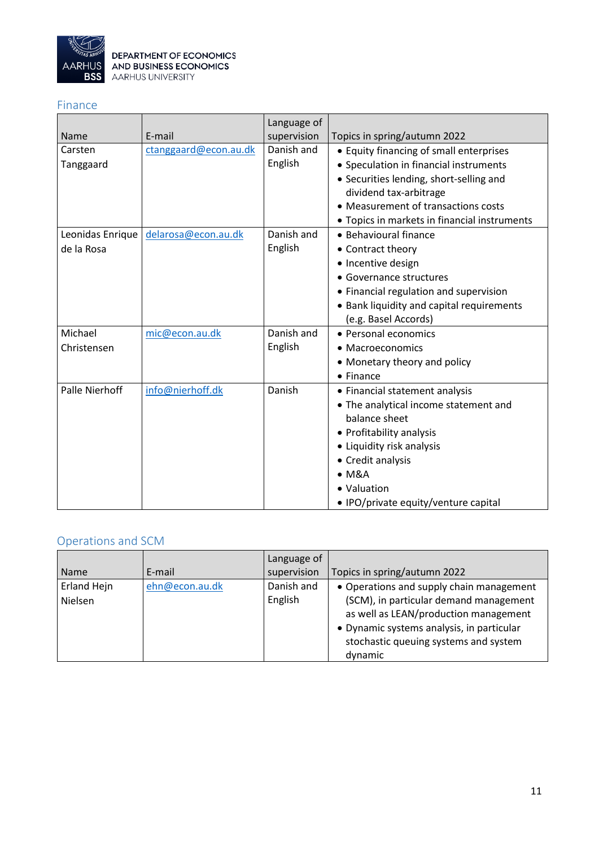

#### <span id="page-10-0"></span>Finance

|                  |                       | Language of |                                              |
|------------------|-----------------------|-------------|----------------------------------------------|
| Name             | E-mail                | supervision | Topics in spring/autumn 2022                 |
| Carsten          | ctanggaard@econ.au.dk | Danish and  | • Equity financing of small enterprises      |
| Tanggaard        |                       | English     | • Speculation in financial instruments       |
|                  |                       |             | • Securities lending, short-selling and      |
|                  |                       |             | dividend tax-arbitrage                       |
|                  |                       |             | • Measurement of transactions costs          |
|                  |                       |             | • Topics in markets in financial instruments |
| Leonidas Enrique | delarosa@econ.au.dk   | Danish and  | • Behavioural finance                        |
| de la Rosa       |                       | English     | • Contract theory                            |
|                  |                       |             | • Incentive design                           |
|                  |                       |             | • Governance structures                      |
|                  |                       |             | • Financial regulation and supervision       |
|                  |                       |             | • Bank liquidity and capital requirements    |
|                  |                       |             | (e.g. Basel Accords)                         |
| Michael          | mic@econ.au.dk        | Danish and  | • Personal economics                         |
| Christensen      |                       | English     | • Macroeconomics                             |
|                  |                       |             | • Monetary theory and policy                 |
|                  |                       |             | $\bullet$ Finance                            |
| Palle Nierhoff   | info@nierhoff.dk      | Danish      | • Financial statement analysis               |
|                  |                       |             | • The analytical income statement and        |
|                  |                       |             | balance sheet                                |
|                  |                       |             | • Profitability analysis                     |
|                  |                       |             | • Liquidity risk analysis                    |
|                  |                       |             | • Credit analysis                            |
|                  |                       |             | • M&A                                        |
|                  |                       |             | • Valuation                                  |
|                  |                       |             | • IPO/private equity/venture capital         |

### <span id="page-10-1"></span>Operations and SCM

<span id="page-10-2"></span>

| <b>Name</b>            | E-mail         | Language of<br>supervision | Topics in spring/autumn 2022                                                                                                                                                                                                 |
|------------------------|----------------|----------------------------|------------------------------------------------------------------------------------------------------------------------------------------------------------------------------------------------------------------------------|
| Erland Hejn<br>Nielsen | ehn@econ.au.dk | Danish and<br>English      | • Operations and supply chain management<br>(SCM), in particular demand management<br>as well as LEAN/production management<br>• Dynamic systems analysis, in particular<br>stochastic queuing systems and system<br>dynamic |